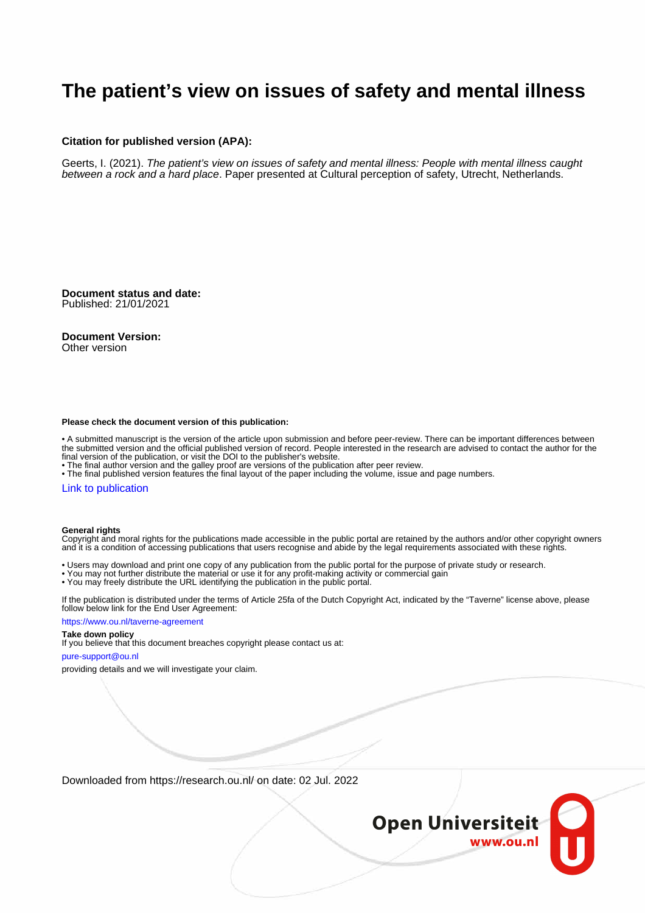# **The patient's view on issues of safety and mental illness**

#### **Citation for published version (APA):**

Geerts, I. (2021). The patient's view on issues of safety and mental illness: People with mental illness caught between a rock and a hard place. Paper presented at Cultural perception of safety, Utrecht, Netherlands.

**Document status and date:** Published: 21/01/2021

**Document Version:**

Other version

#### **Please check the document version of this publication:**

• A submitted manuscript is the version of the article upon submission and before peer-review. There can be important differences between the submitted version and the official published version of record. People interested in the research are advised to contact the author for the final version of the publication, or visit the DOI to the publisher's website.

• The final author version and the galley proof are versions of the publication after peer review.

• The final published version features the final layout of the paper including the volume, issue and page numbers.

#### [Link to publication](https://research.ou.nl/en/publications/d33df5d1-e2f3-4001-9938-a16fcd4b873b)

#### **General rights**

Copyright and moral rights for the publications made accessible in the public portal are retained by the authors and/or other copyright owners and it is a condition of accessing publications that users recognise and abide by the legal requirements associated with these rights.

- Users may download and print one copy of any publication from the public portal for the purpose of private study or research.
- You may not further distribute the material or use it for any profit-making activity or commercial gain
- You may freely distribute the URL identifying the publication in the public portal.

If the publication is distributed under the terms of Article 25fa of the Dutch Copyright Act, indicated by the "Taverne" license above, please follow below link for the End User Agreement:

#### https://www.ou.nl/taverne-agreement

### **Take down policy**

If you believe that this document breaches copyright please contact us at:

#### pure-support@ou.nl

providing details and we will investigate your claim.

Downloaded from https://research.ou.nl/ on date: 02 Jul. 2022

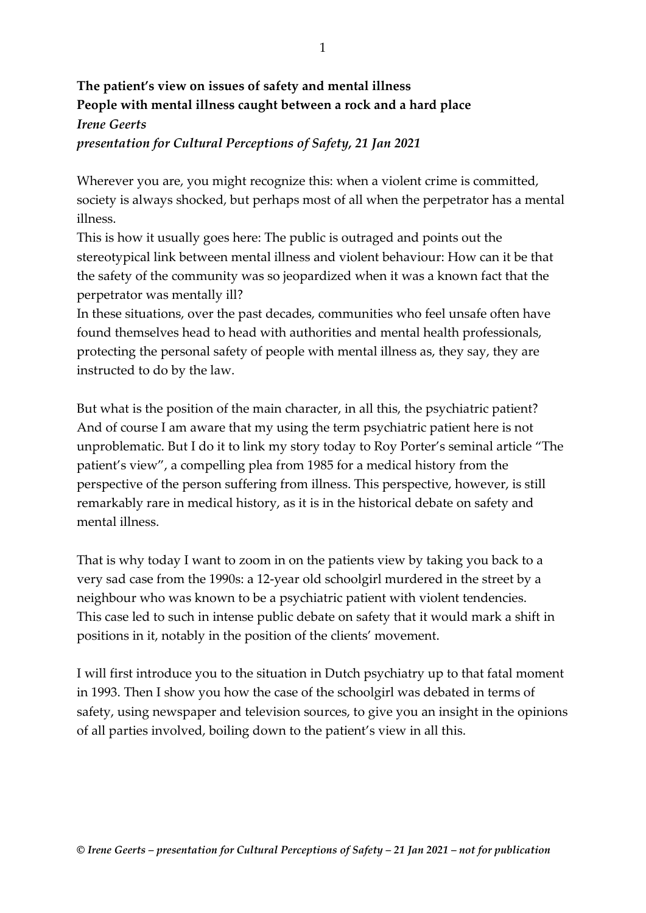## **The patient's view on issues of safety and mental illness People with mental illness caught between a rock and a hard place** *Irene Geerts presentation for Cultural Perceptions of Safety, 21 Jan 2021*

Wherever you are, you might recognize this: when a violent crime is committed, society is always shocked, but perhaps most of all when the perpetrator has a mental illness.

This is how it usually goes here: The public is outraged and points out the stereotypical link between mental illness and violent behaviour: How can it be that the safety of the community was so jeopardized when it was a known fact that the perpetrator was mentally ill?

In these situations, over the past decades, communities who feel unsafe often have found themselves head to head with authorities and mental health professionals, protecting the personal safety of people with mental illness as, they say, they are instructed to do by the law.

But what is the position of the main character, in all this, the psychiatric patient? And of course I am aware that my using the term psychiatric patient here is not unproblematic. But I do it to link my story today to Roy Porter's seminal article "The patient's view", a compelling plea from 1985 for a medical history from the perspective of the person suffering from illness. This perspective, however, is still remarkably rare in medical history, as it is in the historical debate on safety and mental illness.

That is why today I want to zoom in on the patients view by taking you back to a very sad case from the 1990s: a 12-year old schoolgirl murdered in the street by a neighbour who was known to be a psychiatric patient with violent tendencies. This case led to such in intense public debate on safety that it would mark a shift in positions in it, notably in the position of the clients' movement.

I will first introduce you to the situation in Dutch psychiatry up to that fatal moment in 1993. Then I show you how the case of the schoolgirl was debated in terms of safety, using newspaper and television sources, to give you an insight in the opinions of all parties involved, boiling down to the patient's view in all this.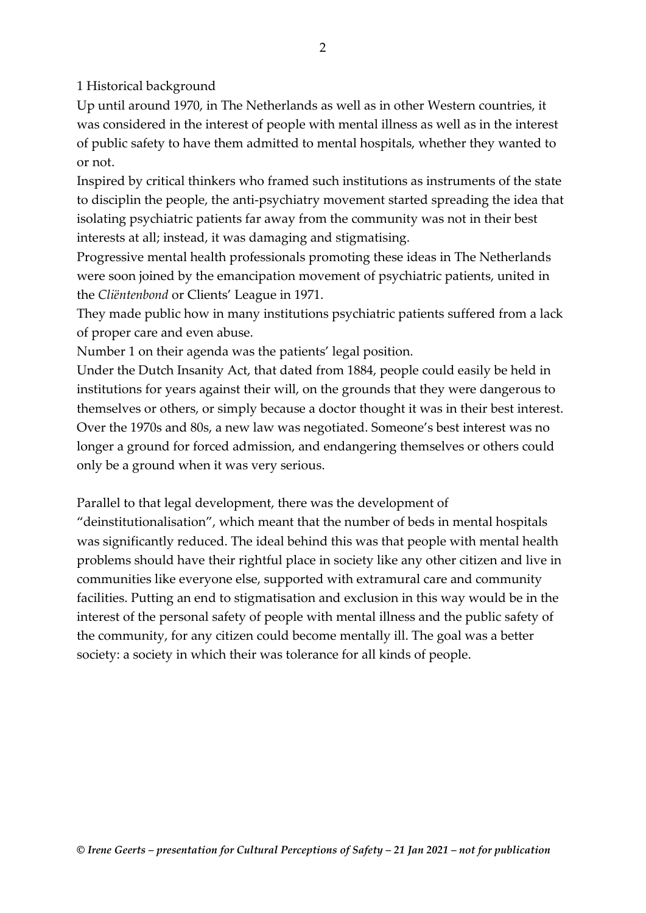1 Historical background

Up until around 1970, in The Netherlands as well as in other Western countries, it was considered in the interest of people with mental illness as well as in the interest of public safety to have them admitted to mental hospitals, whether they wanted to or not.

Inspired by critical thinkers who framed such institutions as instruments of the state to disciplin the people, the anti-psychiatry movement started spreading the idea that isolating psychiatric patients far away from the community was not in their best interests at all; instead, it was damaging and stigmatising.

Progressive mental health professionals promoting these ideas in The Netherlands were soon joined by the emancipation movement of psychiatric patients, united in the *Cliëntenbond* or Clients' League in 1971.

They made public how in many institutions psychiatric patients suffered from a lack of proper care and even abuse.

Number 1 on their agenda was the patients' legal position.

Under the Dutch Insanity Act, that dated from 1884, people could easily be held in institutions for years against their will, on the grounds that they were dangerous to themselves or others, or simply because a doctor thought it was in their best interest. Over the 1970s and 80s, a new law was negotiated. Someone's best interest was no longer a ground for forced admission, and endangering themselves or others could only be a ground when it was very serious.

Parallel to that legal development, there was the development of

"deinstitutionalisation", which meant that the number of beds in mental hospitals was significantly reduced. The ideal behind this was that people with mental health problems should have their rightful place in society like any other citizen and live in communities like everyone else, supported with extramural care and community facilities. Putting an end to stigmatisation and exclusion in this way would be in the interest of the personal safety of people with mental illness and the public safety of the community, for any citizen could become mentally ill. The goal was a better society: a society in which their was tolerance for all kinds of people.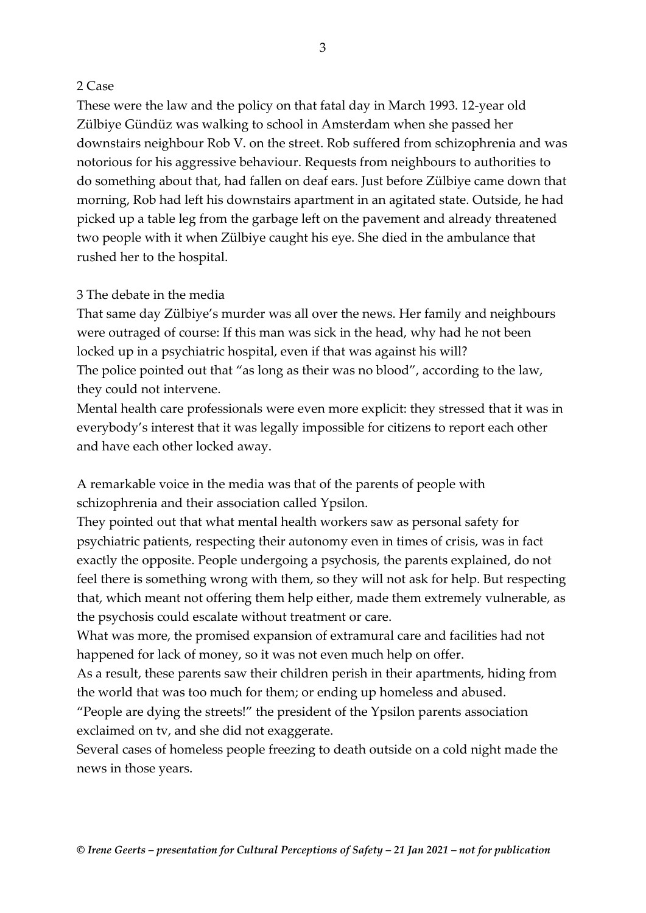### 2 Case

These were the law and the policy on that fatal day in March 1993. 12-year old Zülbiye Gündüz was walking to school in Amsterdam when she passed her downstairs neighbour Rob V. on the street. Rob suffered from schizophrenia and was notorious for his aggressive behaviour. Requests from neighbours to authorities to do something about that, had fallen on deaf ears. Just before Zülbiye came down that morning, Rob had left his downstairs apartment in an agitated state. Outside, he had picked up a table leg from the garbage left on the pavement and already threatened two people with it when Zülbiye caught his eye. She died in the ambulance that rushed her to the hospital.

## 3 The debate in the media

That same day Zülbiye's murder was all over the news. Her family and neighbours were outraged of course: If this man was sick in the head, why had he not been locked up in a psychiatric hospital, even if that was against his will? The police pointed out that "as long as their was no blood", according to the law, they could not intervene.

Mental health care professionals were even more explicit: they stressed that it was in everybody's interest that it was legally impossible for citizens to report each other and have each other locked away.

A remarkable voice in the media was that of the parents of people with schizophrenia and their association called Ypsilon.

They pointed out that what mental health workers saw as personal safety for psychiatric patients, respecting their autonomy even in times of crisis, was in fact exactly the opposite. People undergoing a psychosis, the parents explained, do not feel there is something wrong with them, so they will not ask for help. But respecting that, which meant not offering them help either, made them extremely vulnerable, as the psychosis could escalate without treatment or care.

What was more, the promised expansion of extramural care and facilities had not happened for lack of money, so it was not even much help on offer.

As a result, these parents saw their children perish in their apartments, hiding from the world that was too much for them; or ending up homeless and abused.

"People are dying the streets!" the president of the Ypsilon parents association exclaimed on tv, and she did not exaggerate.

Several cases of homeless people freezing to death outside on a cold night made the news in those years.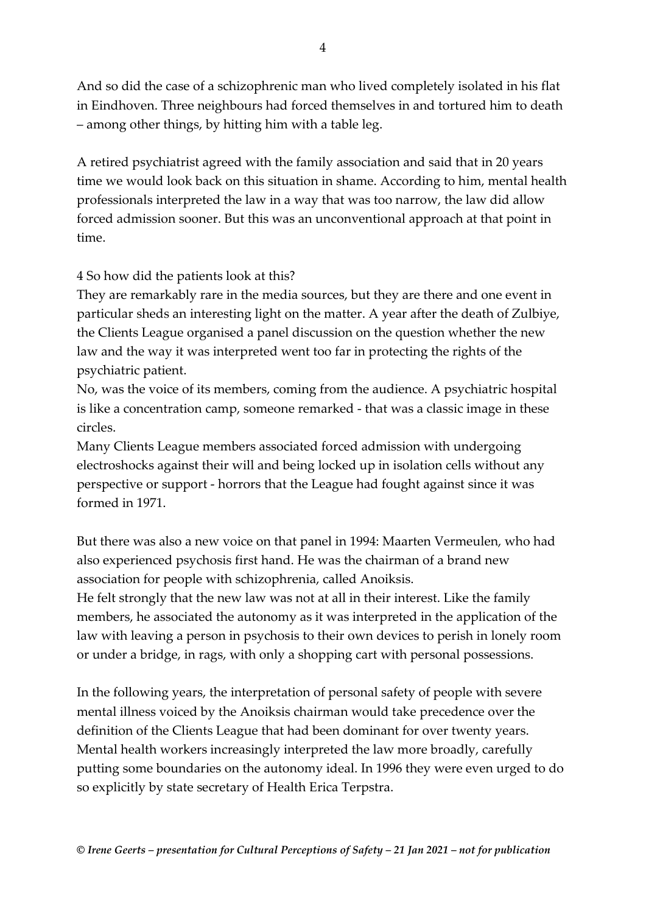And so did the case of a schizophrenic man who lived completely isolated in his flat in Eindhoven. Three neighbours had forced themselves in and tortured him to death – among other things, by hitting him with a table leg.

A retired psychiatrist agreed with the family association and said that in 20 years time we would look back on this situation in shame. According to him, mental health professionals interpreted the law in a way that was too narrow, the law did allow forced admission sooner. But this was an unconventional approach at that point in time.

## 4 So how did the patients look at this?

They are remarkably rare in the media sources, but they are there and one event in particular sheds an interesting light on the matter. A year after the death of Zulbiye, the Clients League organised a panel discussion on the question whether the new law and the way it was interpreted went too far in protecting the rights of the psychiatric patient.

No, was the voice of its members, coming from the audience. A psychiatric hospital is like a concentration camp, someone remarked - that was a classic image in these circles.

Many Clients League members associated forced admission with undergoing electroshocks against their will and being locked up in isolation cells without any perspective or support - horrors that the League had fought against since it was formed in 1971.

But there was also a new voice on that panel in 1994: Maarten Vermeulen, who had also experienced psychosis first hand. He was the chairman of a brand new association for people with schizophrenia, called Anoiksis.

He felt strongly that the new law was not at all in their interest. Like the family members, he associated the autonomy as it was interpreted in the application of the law with leaving a person in psychosis to their own devices to perish in lonely room or under a bridge, in rags, with only a shopping cart with personal possessions.

In the following years, the interpretation of personal safety of people with severe mental illness voiced by the Anoiksis chairman would take precedence over the definition of the Clients League that had been dominant for over twenty years. Mental health workers increasingly interpreted the law more broadly, carefully putting some boundaries on the autonomy ideal. In 1996 they were even urged to do so explicitly by state secretary of Health Erica Terpstra.